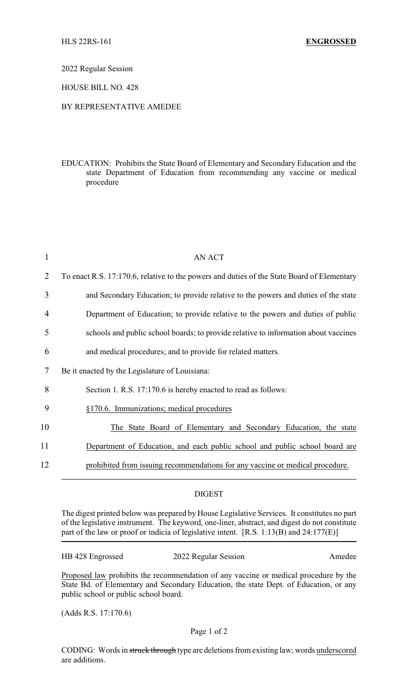2022 Regular Session

HOUSE BILL NO. 428

## BY REPRESENTATIVE AMEDEE

EDUCATION: Prohibits the State Board of Elementary and Secondary Education and the state Department of Education from recommending any vaccine or medical procedure

| 1  | <b>AN ACT</b>                                                                              |
|----|--------------------------------------------------------------------------------------------|
| 2  | To enact R.S. 17:170.6, relative to the powers and duties of the State Board of Elementary |
| 3  | and Secondary Education; to provide relative to the powers and duties of the state         |
| 4  | Department of Education; to provide relative to the powers and duties of public            |
| 5  | schools and public school boards; to provide relative to information about vaccines        |
| 6  | and medical procedures; and to provide for related matters.                                |
| 7  | Be it enacted by the Legislature of Louisiana:                                             |
| 8  | Section 1. R.S. 17:170.6 is hereby enacted to read as follows:                             |
| 9  | §170.6. Immunizations; medical procedures                                                  |
| 10 | The State Board of Elementary and Secondary Education, the state                           |
| 11 | Department of Education, and each public school and public school board are                |
| 12 | prohibited from issuing recommendations for any vaccine or medical procedure.              |

## DIGEST

The digest printed below was prepared by House Legislative Services. It constitutes no part of the legislative instrument. The keyword, one-liner, abstract, and digest do not constitute part of the law or proof or indicia of legislative intent. [R.S. 1:13(B) and 24:177(E)]

| HB 428 Engrossed | 2022 Regular Session | Amedee |
|------------------|----------------------|--------|
|------------------|----------------------|--------|

Proposed law prohibits the recommendation of any vaccine or medical procedure by the State Bd. of Elementary and Secondary Education, the state Dept. of Education, or any public school or public school board.

(Adds R.S. 17:170.6)

## Page 1 of 2

CODING: Words in struck through type are deletions from existing law; words underscored are additions.